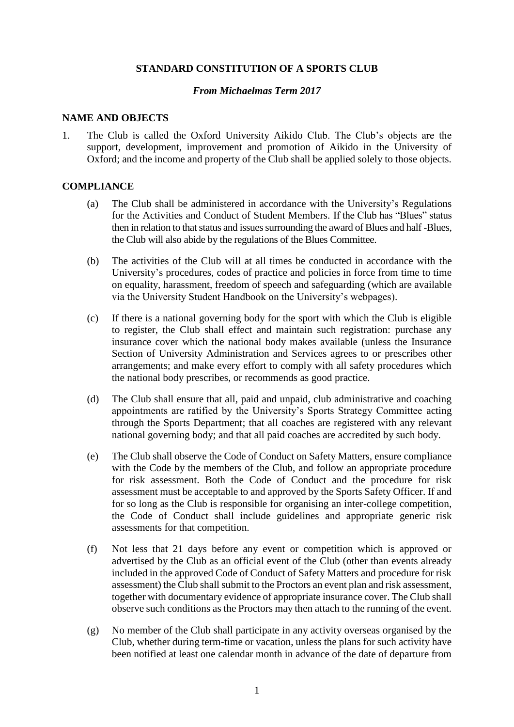#### **STANDARD CONSTITUTION OF A SPORTS CLUB**

#### *From Michaelmas Term 2017*

#### **NAME AND OBJECTS**

1. The Club is called the Oxford University Aikido Club. The Club's objects are the support, development, improvement and promotion of Aikido in the University of Oxford; and the income and property of the Club shall be applied solely to those objects.

#### **COMPLIANCE**

- (a) The Club shall be administered in accordance with the University's Regulations for the Activities and Conduct of Student Members. If the Club has "Blues" status then in relation to that status and issues surrounding the award of Blues and half -Blues, the Club will also abide by the regulations of the Blues Committee.
- (b) The activities of the Club will at all times be conducted in accordance with the University's procedures, codes of practice and policies in force from time to time on equality, harassment, freedom of speech and safeguarding (which are available via the University Student Handbook on the University's webpages).
- (c) If there is a national governing body for the sport with which the Club is eligible to register, the Club shall effect and maintain such registration: purchase any insurance cover which the national body makes available (unless the Insurance Section of University Administration and Services agrees to or prescribes other arrangements; and make every effort to comply with all safety procedures which the national body prescribes, or recommends as good practice.
- (d) The Club shall ensure that all, paid and unpaid, club administrative and coaching appointments are ratified by the University's Sports Strategy Committee acting through the Sports Department; that all coaches are registered with any relevant national governing body; and that all paid coaches are accredited by such body.
- (e) The Club shall observe the Code of Conduct on Safety Matters, ensure compliance with the Code by the members of the Club, and follow an appropriate procedure for risk assessment. Both the Code of Conduct and the procedure for risk assessment must be acceptable to and approved by the Sports Safety Officer. If and for so long as the Club is responsible for organising an inter-college competition, the Code of Conduct shall include guidelines and appropriate generic risk assessments for that competition.
- (f) Not less that 21 days before any event or competition which is approved or advertised by the Club as an official event of the Club (other than events already included in the approved Code of Conduct of Safety Matters and procedure for risk assessment) the Club shall submit to the Proctors an event plan and risk assessment, together with documentary evidence of appropriate insurance cover. The Club shall observe such conditions as the Proctors may then attach to the running of the event.
- (g) No member of the Club shall participate in any activity overseas organised by the Club, whether during term-time or vacation, unless the plans for such activity have been notified at least one calendar month in advance of the date of departure from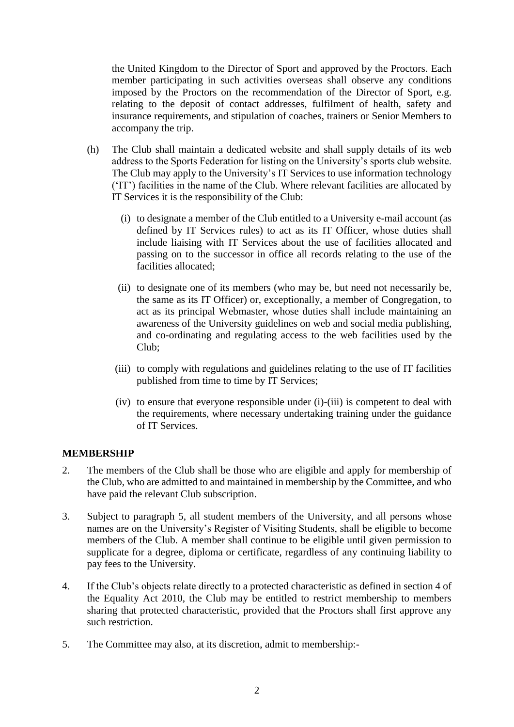the United Kingdom to the Director of Sport and approved by the Proctors. Each member participating in such activities overseas shall observe any conditions imposed by the Proctors on the recommendation of the Director of Sport, e.g. relating to the deposit of contact addresses, fulfilment of health, safety and insurance requirements, and stipulation of coaches, trainers or Senior Members to accompany the trip.

- (h) The Club shall maintain a dedicated website and shall supply details of its web address to the Sports Federation for listing on the University's sports club website. The Club may apply to the University's IT Services to use information technology ('IT') facilities in the name of the Club. Where relevant facilities are allocated by IT Services it is the responsibility of the Club:
	- (i) to designate a member of the Club entitled to a University e-mail account (as defined by IT Services rules) to act as its IT Officer, whose duties shall include liaising with IT Services about the use of facilities allocated and passing on to the successor in office all records relating to the use of the facilities allocated;
	- (ii) to designate one of its members (who may be, but need not necessarily be, the same as its IT Officer) or, exceptionally, a member of Congregation, to act as its principal Webmaster, whose duties shall include maintaining an awareness of the University guidelines on web and social media publishing, and co-ordinating and regulating access to the web facilities used by the Club;
	- (iii) to comply with regulations and guidelines relating to the use of IT facilities published from time to time by IT Services;
	- (iv) to ensure that everyone responsible under (i)-(iii) is competent to deal with the requirements, where necessary undertaking training under the guidance of IT Services.

# **MEMBERSHIP**

- 2. The members of the Club shall be those who are eligible and apply for membership of the Club, who are admitted to and maintained in membership by the Committee, and who have paid the relevant Club subscription.
- 3. Subject to paragraph 5, all student members of the University, and all persons whose names are on the University's Register of Visiting Students, shall be eligible to become members of the Club. A member shall continue to be eligible until given permission to supplicate for a degree, diploma or certificate, regardless of any continuing liability to pay fees to the University.
- 4. If the Club's objects relate directly to a protected characteristic as defined in section 4 of the Equality Act 2010, the Club may be entitled to restrict membership to members sharing that protected characteristic, provided that the Proctors shall first approve any such restriction.
- 5. The Committee may also, at its discretion, admit to membership:-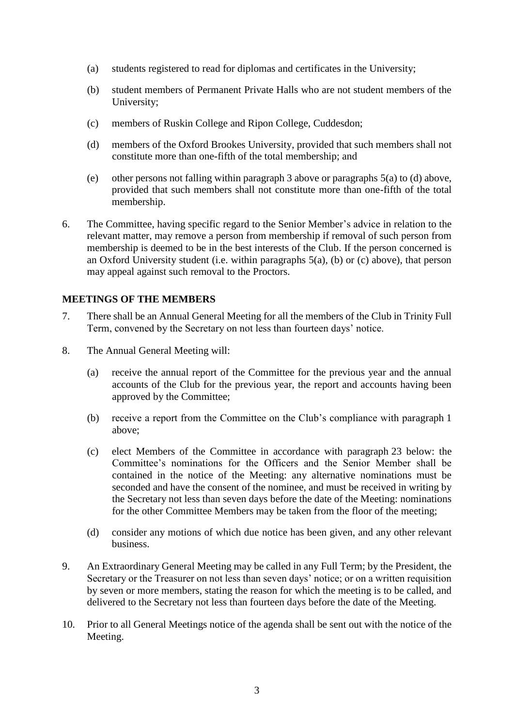- (a) students registered to read for diplomas and certificates in the University;
- (b) student members of Permanent Private Halls who are not student members of the University;
- (c) members of Ruskin College and Ripon College, Cuddesdon;
- (d) members of the Oxford Brookes University, provided that such members shall not constitute more than one-fifth of the total membership; and
- (e) other persons not falling within paragraph 3 above or paragraphs 5(a) to (d) above, provided that such members shall not constitute more than one-fifth of the total membership.
- 6. The Committee, having specific regard to the Senior Member's advice in relation to the relevant matter, may remove a person from membership if removal of such person from membership is deemed to be in the best interests of the Club. If the person concerned is an Oxford University student (i.e. within paragraphs 5(a), (b) or (c) above), that person may appeal against such removal to the Proctors.

# **MEETINGS OF THE MEMBERS**

- 7. There shall be an Annual General Meeting for all the members of the Club in Trinity Full Term, convened by the Secretary on not less than fourteen days' notice.
- 8. The Annual General Meeting will:
	- (a) receive the annual report of the Committee for the previous year and the annual accounts of the Club for the previous year, the report and accounts having been approved by the Committee;
	- (b) receive a report from the Committee on the Club's compliance with paragraph 1 above;
	- (c) elect Members of the Committee in accordance with paragraph 23 below: the Committee's nominations for the Officers and the Senior Member shall be contained in the notice of the Meeting: any alternative nominations must be seconded and have the consent of the nominee, and must be received in writing by the Secretary not less than seven days before the date of the Meeting: nominations for the other Committee Members may be taken from the floor of the meeting;
	- (d) consider any motions of which due notice has been given, and any other relevant business.
- 9. An Extraordinary General Meeting may be called in any Full Term; by the President, the Secretary or the Treasurer on not less than seven days' notice; or on a written requisition by seven or more members, stating the reason for which the meeting is to be called, and delivered to the Secretary not less than fourteen days before the date of the Meeting.
- 10. Prior to all General Meetings notice of the agenda shall be sent out with the notice of the Meeting.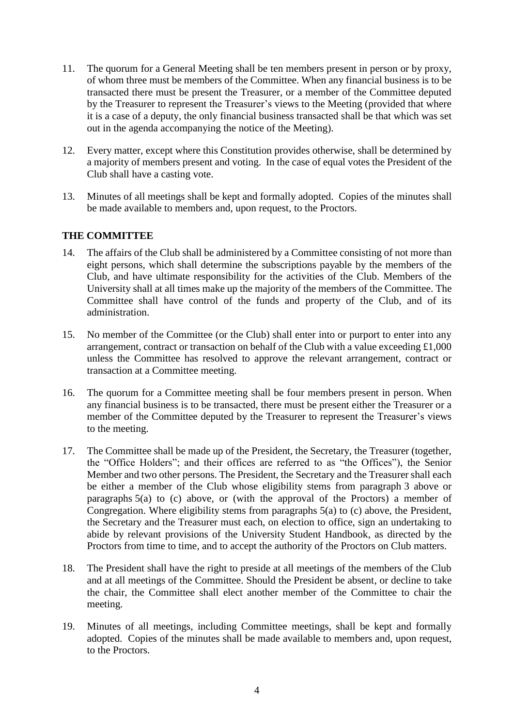- 11. The quorum for a General Meeting shall be ten members present in person or by proxy, of whom three must be members of the Committee. When any financial business is to be transacted there must be present the Treasurer, or a member of the Committee deputed by the Treasurer to represent the Treasurer's views to the Meeting (provided that where it is a case of a deputy, the only financial business transacted shall be that which was set out in the agenda accompanying the notice of the Meeting).
- 12. Every matter, except where this Constitution provides otherwise, shall be determined by a majority of members present and voting. In the case of equal votes the President of the Club shall have a casting vote.
- 13. Minutes of all meetings shall be kept and formally adopted. Copies of the minutes shall be made available to members and, upon request, to the Proctors.

# **THE COMMITTEE**

- 14. The affairs of the Club shall be administered by a Committee consisting of not more than eight persons, which shall determine the subscriptions payable by the members of the Club, and have ultimate responsibility for the activities of the Club. Members of the University shall at all times make up the majority of the members of the Committee. The Committee shall have control of the funds and property of the Club, and of its administration.
- 15. No member of the Committee (or the Club) shall enter into or purport to enter into any arrangement, contract or transaction on behalf of the Club with a value exceeding £1,000 unless the Committee has resolved to approve the relevant arrangement, contract or transaction at a Committee meeting.
- 16. The quorum for a Committee meeting shall be four members present in person. When any financial business is to be transacted, there must be present either the Treasurer or a member of the Committee deputed by the Treasurer to represent the Treasurer's views to the meeting.
- 17. The Committee shall be made up of the President, the Secretary, the Treasurer (together, the "Office Holders"; and their offices are referred to as "the Offices"), the Senior Member and two other persons. The President, the Secretary and the Treasurer shall each be either a member of the Club whose eligibility stems from paragraph 3 above or paragraphs 5(a) to (c) above, or (with the approval of the Proctors) a member of Congregation. Where eligibility stems from paragraphs 5(a) to (c) above, the President, the Secretary and the Treasurer must each, on election to office, sign an undertaking to abide by relevant provisions of the University Student Handbook, as directed by the Proctors from time to time, and to accept the authority of the Proctors on Club matters.
- 18. The President shall have the right to preside at all meetings of the members of the Club and at all meetings of the Committee. Should the President be absent, or decline to take the chair, the Committee shall elect another member of the Committee to chair the meeting.
- 19. Minutes of all meetings, including Committee meetings, shall be kept and formally adopted. Copies of the minutes shall be made available to members and, upon request, to the Proctors.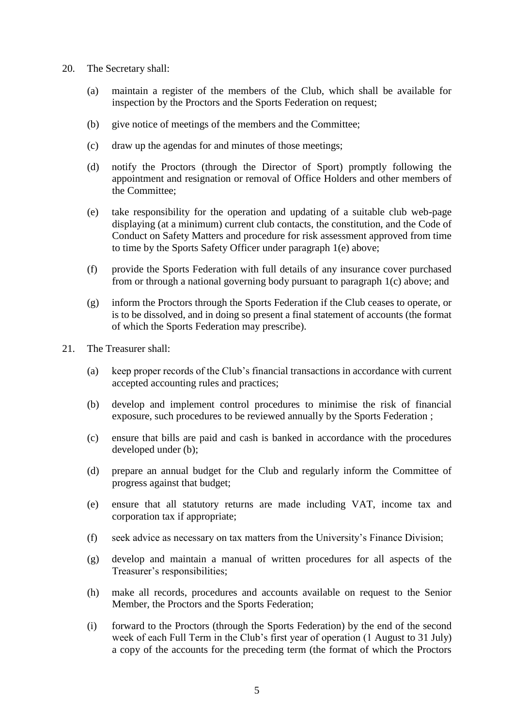- 20. The Secretary shall:
	- (a) maintain a register of the members of the Club, which shall be available for inspection by the Proctors and the Sports Federation on request;
	- (b) give notice of meetings of the members and the Committee;
	- (c) draw up the agendas for and minutes of those meetings;
	- (d) notify the Proctors (through the Director of Sport) promptly following the appointment and resignation or removal of Office Holders and other members of the Committee;
	- (e) take responsibility for the operation and updating of a suitable club web-page displaying (at a minimum) current club contacts, the constitution, and the Code of Conduct on Safety Matters and procedure for risk assessment approved from time to time by the Sports Safety Officer under paragraph 1(e) above;
	- (f) provide the Sports Federation with full details of any insurance cover purchased from or through a national governing body pursuant to paragraph 1(c) above; and
	- (g) inform the Proctors through the Sports Federation if the Club ceases to operate, or is to be dissolved, and in doing so present a final statement of accounts (the format of which the Sports Federation may prescribe).
- 21. The Treasurer shall:
	- (a) keep proper records of the Club's financial transactions in accordance with current accepted accounting rules and practices;
	- (b) develop and implement control procedures to minimise the risk of financial exposure, such procedures to be reviewed annually by the Sports Federation ;
	- (c) ensure that bills are paid and cash is banked in accordance with the procedures developed under (b);
	- (d) prepare an annual budget for the Club and regularly inform the Committee of progress against that budget;
	- (e) ensure that all statutory returns are made including VAT, income tax and corporation tax if appropriate;
	- (f) seek advice as necessary on tax matters from the University's Finance Division;
	- (g) develop and maintain a manual of written procedures for all aspects of the Treasurer's responsibilities;
	- (h) make all records, procedures and accounts available on request to the Senior Member, the Proctors and the Sports Federation;
	- (i) forward to the Proctors (through the Sports Federation) by the end of the second week of each Full Term in the Club's first year of operation (1 August to 31 July) a copy of the accounts for the preceding term (the format of which the Proctors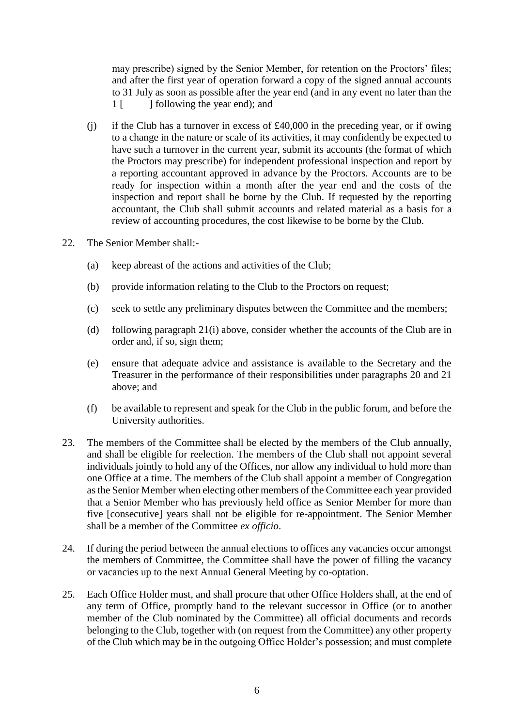may prescribe) signed by the Senior Member, for retention on the Proctors' files; and after the first year of operation forward a copy of the signed annual accounts to 31 July as soon as possible after the year end (and in any event no later than the 1 [ ] collowing the year end); and

- (j) if the Club has a turnover in excess of £40,000 in the preceding year, or if owing to a change in the nature or scale of its activities, it may confidently be expected to have such a turnover in the current year, submit its accounts (the format of which the Proctors may prescribe) for independent professional inspection and report by a reporting accountant approved in advance by the Proctors. Accounts are to be ready for inspection within a month after the year end and the costs of the inspection and report shall be borne by the Club. If requested by the reporting accountant, the Club shall submit accounts and related material as a basis for a review of accounting procedures, the cost likewise to be borne by the Club.
- 22. The Senior Member shall:-
	- (a) keep abreast of the actions and activities of the Club;
	- (b) provide information relating to the Club to the Proctors on request;
	- (c) seek to settle any preliminary disputes between the Committee and the members;
	- (d) following paragraph 21(i) above, consider whether the accounts of the Club are in order and, if so, sign them;
	- (e) ensure that adequate advice and assistance is available to the Secretary and the Treasurer in the performance of their responsibilities under paragraphs 20 and 21 above; and
	- (f) be available to represent and speak for the Club in the public forum, and before the University authorities.
- 23. The members of the Committee shall be elected by the members of the Club annually, and shall be eligible for reelection. The members of the Club shall not appoint several individuals jointly to hold any of the Offices, nor allow any individual to hold more than one Office at a time. The members of the Club shall appoint a member of Congregation as the Senior Member when electing other members of the Committee each year provided that a Senior Member who has previously held office as Senior Member for more than five [consecutive] years shall not be eligible for re-appointment. The Senior Member shall be a member of the Committee *ex officio*.
- 24. If during the period between the annual elections to offices any vacancies occur amongst the members of Committee, the Committee shall have the power of filling the vacancy or vacancies up to the next Annual General Meeting by co-optation.
- 25. Each Office Holder must, and shall procure that other Office Holders shall, at the end of any term of Office, promptly hand to the relevant successor in Office (or to another member of the Club nominated by the Committee) all official documents and records belonging to the Club, together with (on request from the Committee) any other property of the Club which may be in the outgoing Office Holder's possession; and must complete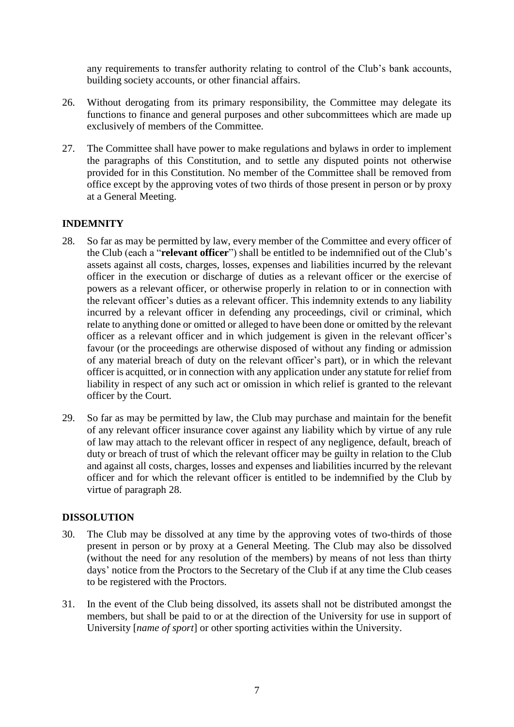any requirements to transfer authority relating to control of the Club's bank accounts, building society accounts, or other financial affairs.

- 26. Without derogating from its primary responsibility, the Committee may delegate its functions to finance and general purposes and other subcommittees which are made up exclusively of members of the Committee.
- 27. The Committee shall have power to make regulations and bylaws in order to implement the paragraphs of this Constitution, and to settle any disputed points not otherwise provided for in this Constitution. No member of the Committee shall be removed from office except by the approving votes of two thirds of those present in person or by proxy at a General Meeting.

# **INDEMNITY**

- 28. So far as may be permitted by law, every member of the Committee and every officer of the Club (each a "**relevant officer**") shall be entitled to be indemnified out of the Club's assets against all costs, charges, losses, expenses and liabilities incurred by the relevant officer in the execution or discharge of duties as a relevant officer or the exercise of powers as a relevant officer, or otherwise properly in relation to or in connection with the relevant officer's duties as a relevant officer. This indemnity extends to any liability incurred by a relevant officer in defending any proceedings, civil or criminal, which relate to anything done or omitted or alleged to have been done or omitted by the relevant officer as a relevant officer and in which judgement is given in the relevant officer's favour (or the proceedings are otherwise disposed of without any finding or admission of any material breach of duty on the relevant officer's part), or in which the relevant officer is acquitted, or in connection with any application under any statute for relief from liability in respect of any such act or omission in which relief is granted to the relevant officer by the Court.
- 29. So far as may be permitted by law, the Club may purchase and maintain for the benefit of any relevant officer insurance cover against any liability which by virtue of any rule of law may attach to the relevant officer in respect of any negligence, default, breach of duty or breach of trust of which the relevant officer may be guilty in relation to the Club and against all costs, charges, losses and expenses and liabilities incurred by the relevant officer and for which the relevant officer is entitled to be indemnified by the Club by virtue of paragraph 28.

# **DISSOLUTION**

- 30. The Club may be dissolved at any time by the approving votes of two-thirds of those present in person or by proxy at a General Meeting. The Club may also be dissolved (without the need for any resolution of the members) by means of not less than thirty days' notice from the Proctors to the Secretary of the Club if at any time the Club ceases to be registered with the Proctors.
- 31. In the event of the Club being dissolved, its assets shall not be distributed amongst the members, but shall be paid to or at the direction of the University for use in support of University [*name of sport*] or other sporting activities within the University.